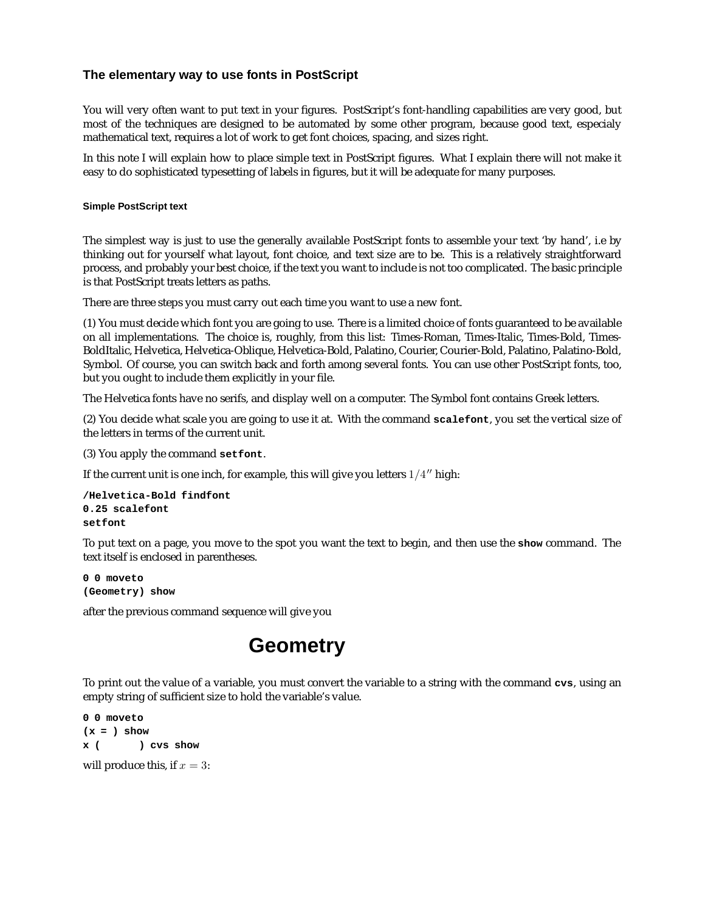#### **The elementary way to use fonts in PostScript**

You will very often want to put text in your figures. PostScript's font-handling capabilities are very good, but most of the techniques are designed to be automated by some other program, because good text, especialy mathematical text, requires a lot of work to get font choices, spacing, and sizes right.

In this note I will explain how to place simple text in PostScript figures. What I explain there will not make it easy to do sophisticated typesetting of labels in figures, but it will be adequate for many purposes.

#### **Simple PostScript text**

The simplest way is just to use the generally available PostScript fonts to assemble your text 'by hand', i.e by thinking out for yourself what layout, font choice, and text size are to be. This is a relatively straightforward process, and probably your best choice, if the text you want to include is not too complicated. The basic principle is that PostScript treats letters as paths.

There are three steps you must carry out each time you want to use a new font.

(1) You must decide which font you are going to use. There is a limited choice of fonts guaranteed to be available on all implementations. The choice is, roughly, from this list: Times-Roman, Times-Italic, Times-Bold, Times-BoldItalic, Helvetica, Helvetica-Oblique, Helvetica-Bold, Palatino, Courier, Courier-Bold, Palatino, Palatino-Bold, Symbol. Of course, you can switch back and forth among several fonts. You can use other PostScript fonts, too, but you ought to include them explicitly in your file.

The Helvetica fonts have no serifs, and display well on a computer. The Symbol font contains Greek letters.

(2) You decide what scale you are going to use it at. With the command **scalefont**, you set the vertical size of the letters in terms of the current unit.

(3) You apply the command **setfont**.

If the current unit is one inch, for example, this will give you letters  $1/4$ <sup>"</sup> high:

```
/Helvetica-Bold findfont
0.25 scalefont
setfont
```
To put text on a page, you move to the spot you want the text to begin, and then use the **show** command. The text itself is enclosed in parentheses.

**0 0 moveto (Geometry) show**

after the previous command sequence will give you

## **Geometry**

To print out the value of a variable, you must convert the variable to a string with the command **cvs**, using an empty string of sufficient size to hold the variable's value.

**0 0 moveto (x = ) show x ( ) cvs show** will produce this, if  $x = 3$ :